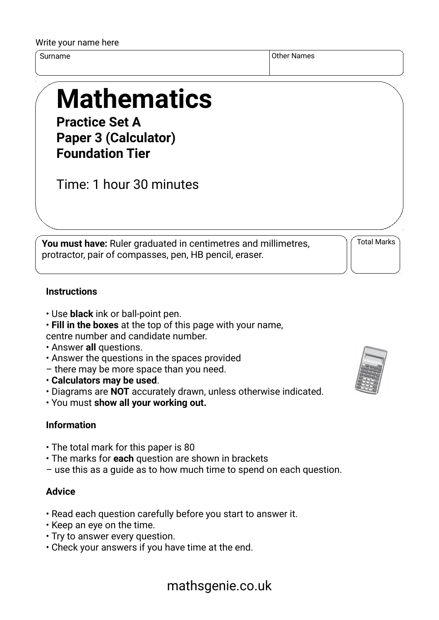#### Write your name here

Surname Other Names of the Surname of the Surname of the Surname of the Surname of the Surname of the Surname o

# **Mathematics**

**Practice Set A Paper 3 (Calculator) Foundation Tier**

Time: 1 hour 30 minutes

**You must have:** Ruler graduated in centimetres and millimetres, protractor, pair of compasses, pen, HB pencil, eraser.

Total Marks

#### **Instructions**

- Use **black** ink or ball-point pen.
- **Fill in the boxes** at the top of this page with your name,

centre number and candidate number.

- Answer **all** questions.
- Answer the questions in the spaces provided
- there may be more space than you need.
- **Calculators may be used**.
- Diagrams are **NOT** accurately drawn, unless otherwise indicated.
- You must **show all your working out.**

### **Information**

- The total mark for this paper is 80
- The marks for **each** question are shown in brackets
- use this as a guide as to how much time to spend on each question.

#### **Advice**

- Read each question carefully before you start to answer it.
- Keep an eye on the time.
- Try to answer every question.
- Check your answers if you have time at the end.



## mathsgenie.co.uk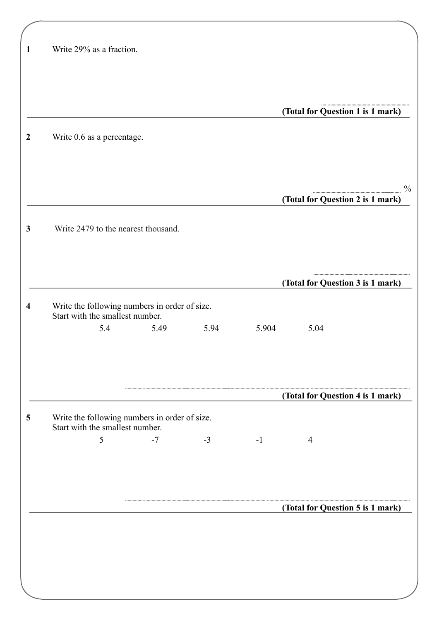| Write 29% as a fraction.                                                         |      |      |       |                                  |  |
|----------------------------------------------------------------------------------|------|------|-------|----------------------------------|--|
|                                                                                  |      |      |       |                                  |  |
|                                                                                  |      |      |       | (Total for Question 1 is 1 mark) |  |
| Write 0.6 as a percentage.                                                       |      |      |       |                                  |  |
|                                                                                  |      |      |       |                                  |  |
|                                                                                  |      |      |       | (Total for Question 2 is 1 mark) |  |
| Write 2479 to the nearest thousand.                                              |      |      |       |                                  |  |
|                                                                                  |      |      |       | (Total for Question 3 is 1 mark) |  |
| Write the following numbers in order of size.<br>Start with the smallest number. |      |      |       |                                  |  |
| 5.4                                                                              | 5.49 | 5.94 | 5.904 | 5.04                             |  |
|                                                                                  |      |      |       |                                  |  |
|                                                                                  |      |      |       | (Total for Question 4 is 1 mark) |  |
| Write the following numbers in order of size.<br>Start with the smallest number. |      |      |       |                                  |  |
| 5                                                                                | $-7$ | $-3$ | $-1$  | $\overline{4}$                   |  |
|                                                                                  |      |      |       |                                  |  |
|                                                                                  |      |      |       |                                  |  |
|                                                                                  |      |      |       | (Total for Question 5 is 1 mark) |  |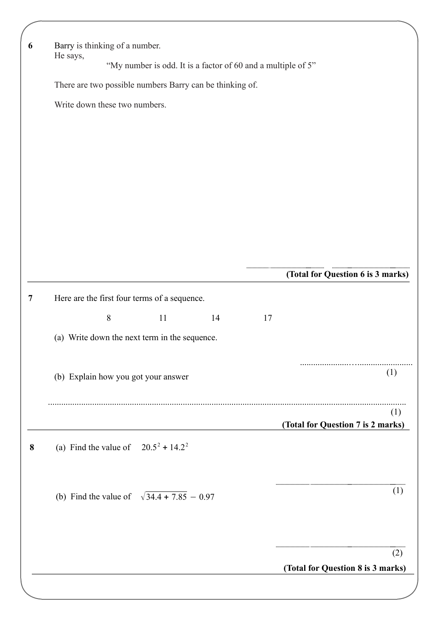| 6 | Barry is thinking of a number.                               |                                                          |    |    |                                   |  |  |
|---|--------------------------------------------------------------|----------------------------------------------------------|----|----|-----------------------------------|--|--|
|   | He says,                                                     |                                                          |    |    |                                   |  |  |
|   | "My number is odd. It is a factor of 60 and a multiple of 5" |                                                          |    |    |                                   |  |  |
|   |                                                              | There are two possible numbers Barry can be thinking of. |    |    |                                   |  |  |
|   |                                                              | Write down these two numbers.                            |    |    |                                   |  |  |
|   |                                                              |                                                          |    |    |                                   |  |  |
|   |                                                              |                                                          |    |    |                                   |  |  |
|   |                                                              |                                                          |    |    |                                   |  |  |
|   |                                                              |                                                          |    |    |                                   |  |  |
|   |                                                              |                                                          |    |    |                                   |  |  |
|   |                                                              |                                                          |    |    |                                   |  |  |
|   |                                                              |                                                          |    |    |                                   |  |  |
|   |                                                              |                                                          |    |    |                                   |  |  |
|   |                                                              |                                                          |    |    |                                   |  |  |
|   |                                                              |                                                          |    |    | (Total for Question 6 is 3 marks) |  |  |
| 7 |                                                              | Here are the first four terms of a sequence.             |    |    |                                   |  |  |
|   |                                                              | $8\,$<br>11                                              | 14 | 17 |                                   |  |  |
|   |                                                              |                                                          |    |    |                                   |  |  |
|   |                                                              | (a) Write down the next term in the sequence.            |    |    |                                   |  |  |
|   |                                                              |                                                          |    |    |                                   |  |  |
|   |                                                              | (b) Explain how you got your answer                      |    |    | (1)                               |  |  |
|   |                                                              |                                                          |    |    |                                   |  |  |
|   |                                                              |                                                          |    |    | (1)                               |  |  |
|   |                                                              |                                                          |    |    | (Total for Question 7 is 2 marks) |  |  |
| 8 |                                                              | (a) Find the value of $20.5^2 + 14.2^2$                  |    |    |                                   |  |  |
|   |                                                              |                                                          |    |    |                                   |  |  |
|   |                                                              |                                                          |    |    |                                   |  |  |
|   |                                                              | (b) Find the value of $\sqrt{34.4 + 7.85} - 0.97$        |    |    | (1)                               |  |  |
|   |                                                              |                                                          |    |    |                                   |  |  |
|   |                                                              |                                                          |    |    |                                   |  |  |
|   |                                                              |                                                          |    |    | (2)                               |  |  |
|   |                                                              |                                                          |    |    | (Total for Question 8 is 3 marks) |  |  |
|   |                                                              |                                                          |    |    |                                   |  |  |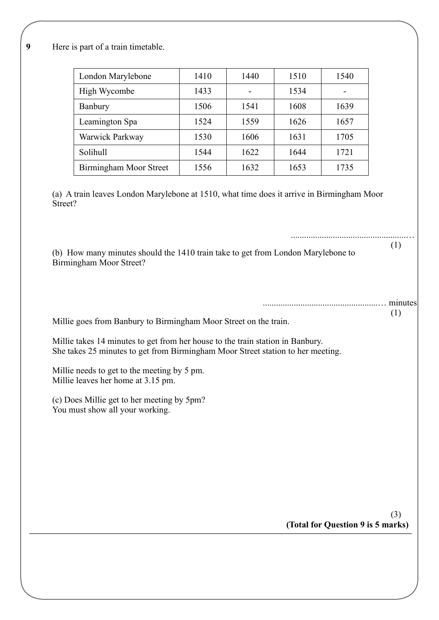**9** Here is part of a train timetable.

| London Marylebone      | 1410 | 1440 | 1510 | 1540 |
|------------------------|------|------|------|------|
| High Wycombe           | 1433 | -    | 1534 |      |
| Banbury                | 1506 | 1541 | 1608 | 1639 |
| Leamington Spa         | 1524 | 1559 | 1626 | 1657 |
| Warwick Parkway        | 1530 | 1606 | 1631 | 1705 |
| Solihull               | 1544 | 1622 | 1644 | 1721 |
| Birmingham Moor Street | 1556 | 1632 | 1653 | 1735 |

(a) A train leaves London Marylebone at 1510, what time does it arrive in Birmingham Moor Street?

(b) How many minutes should the 1410 train take to get from London Marylebone to Birmingham Moor Street?

> ....................................................… minutes (1)

....................................................…

(1)

Millie goes from Banbury to Birmingham Moor Street on the train.

Millie takes 14 minutes to get from her house to the train station in Banbury. She takes 25 minutes to get from Birmingham Moor Street station to her meeting.

Millie needs to get to the meeting by 5 pm. Millie leaves her home at 3.15 pm.

(c) Does Millie get to her meeting by 5pm? You must show all your working.

> **(Total for Question 9 is 5 marks)** (3)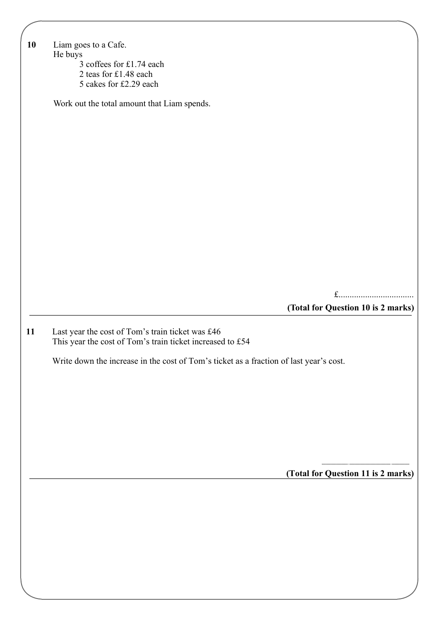| 10 | Liam goes to a Cafe.                                                                   |
|----|----------------------------------------------------------------------------------------|
|    |                                                                                        |
|    | He buys                                                                                |
|    | 3 coffees for £1.74 each                                                               |
|    | 2 teas for £1.48 each                                                                  |
|    | 5 cakes for £2.29 each                                                                 |
|    |                                                                                        |
|    | Work out the total amount that Liam spends.                                            |
|    |                                                                                        |
|    |                                                                                        |
|    |                                                                                        |
|    |                                                                                        |
|    |                                                                                        |
|    |                                                                                        |
|    |                                                                                        |
|    |                                                                                        |
|    |                                                                                        |
|    |                                                                                        |
|    |                                                                                        |
|    |                                                                                        |
|    |                                                                                        |
|    |                                                                                        |
|    |                                                                                        |
|    |                                                                                        |
|    |                                                                                        |
|    |                                                                                        |
|    |                                                                                        |
|    |                                                                                        |
|    | £                                                                                      |
|    | (Total for Question 10 is 2 marks)                                                     |
|    |                                                                                        |
|    |                                                                                        |
| 11 | Last year the cost of Tom's train ticket was £46                                       |
|    | This year the cost of Tom's train ticket increased to £54                              |
|    |                                                                                        |
|    | Write down the increase in the cost of Tom's ticket as a fraction of last year's cost. |
|    |                                                                                        |
|    |                                                                                        |
|    |                                                                                        |
|    |                                                                                        |
|    |                                                                                        |
|    |                                                                                        |
|    |                                                                                        |
|    |                                                                                        |
|    |                                                                                        |
|    |                                                                                        |
|    |                                                                                        |
|    | (Total for Question 11 is 2 marks)                                                     |
|    |                                                                                        |
|    |                                                                                        |
|    |                                                                                        |
|    |                                                                                        |
|    |                                                                                        |
|    |                                                                                        |
|    |                                                                                        |
|    |                                                                                        |
|    |                                                                                        |
|    |                                                                                        |
|    |                                                                                        |
|    |                                                                                        |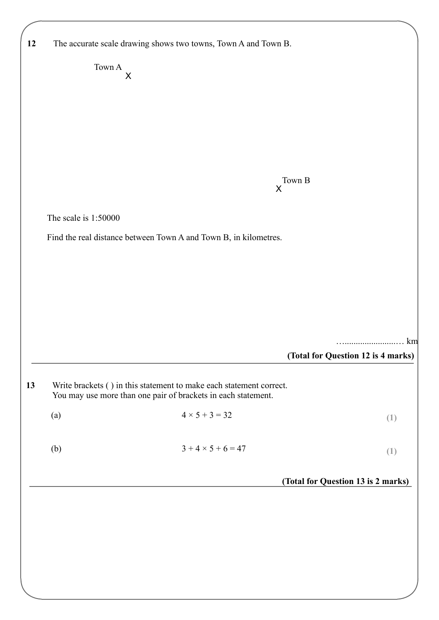|                      | The accurate scale drawing shows two towns, Town A and Town B.                                                                       |                                    |
|----------------------|--------------------------------------------------------------------------------------------------------------------------------------|------------------------------------|
|                      | Town A                                                                                                                               |                                    |
|                      | $\sf X$                                                                                                                              |                                    |
|                      |                                                                                                                                      |                                    |
|                      |                                                                                                                                      |                                    |
|                      |                                                                                                                                      |                                    |
|                      |                                                                                                                                      |                                    |
|                      |                                                                                                                                      |                                    |
|                      | Town B<br>$\mathsf{X}$                                                                                                               |                                    |
|                      |                                                                                                                                      |                                    |
| The scale is 1:50000 |                                                                                                                                      |                                    |
|                      | Find the real distance between Town A and Town B, in kilometres.                                                                     |                                    |
|                      |                                                                                                                                      |                                    |
|                      |                                                                                                                                      |                                    |
|                      |                                                                                                                                      |                                    |
|                      |                                                                                                                                      |                                    |
|                      |                                                                                                                                      |                                    |
|                      |                                                                                                                                      |                                    |
|                      |                                                                                                                                      | .                                  |
|                      |                                                                                                                                      | (Total for Question 12 is 4 marks) |
|                      |                                                                                                                                      |                                    |
|                      | Write brackets () in this statement to make each statement correct.<br>You may use more than one pair of brackets in each statement. |                                    |
|                      | $4 \times 5 + 3 = 32$                                                                                                                |                                    |
| (a)                  |                                                                                                                                      | (1)                                |
|                      | $3 + 4 \times 5 + 6 = 47$                                                                                                            |                                    |
| (b)                  |                                                                                                                                      | (1)                                |
|                      |                                                                                                                                      |                                    |
|                      |                                                                                                                                      | (Total for Question 13 is 2 marks) |
|                      |                                                                                                                                      |                                    |
|                      |                                                                                                                                      |                                    |
|                      |                                                                                                                                      |                                    |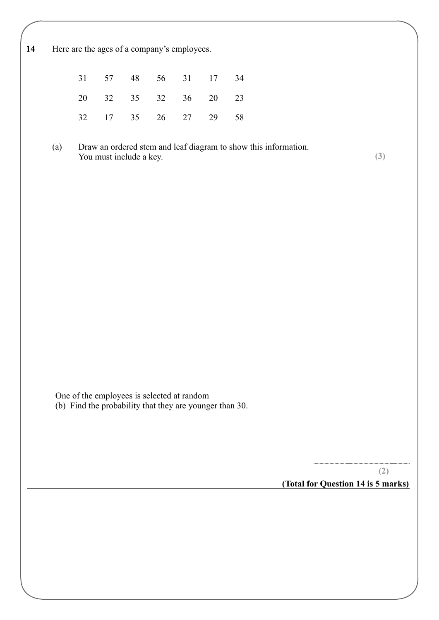14 Here are the ages of a company's employees.

|  | 31 57 48 56 31 17 34 |  |  |
|--|----------------------|--|--|
|  | 20 32 35 32 36 20 23 |  |  |
|  | 32 17 35 26 27 29 58 |  |  |

(a) Draw an ordered stem and leaf diagram to show this information. You must include a key. **(3)**

One of the employees is selected at random (b) Find the probability that they are younger than 30.

> **(Total for Question 14 is 5 marks) (2)**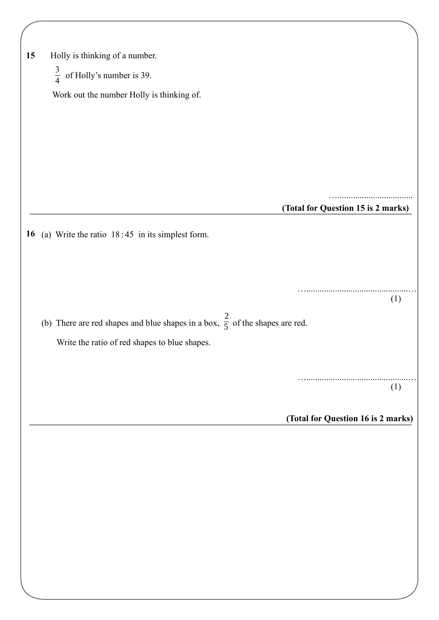| 15 | Holly is thinking of a number.                                                          |                                    |
|----|-----------------------------------------------------------------------------------------|------------------------------------|
|    | $\frac{3}{4}$ of Holly's number is 39.                                                  |                                    |
|    | Work out the number Holly is thinking of.                                               |                                    |
|    |                                                                                         |                                    |
|    |                                                                                         |                                    |
|    |                                                                                         |                                    |
|    |                                                                                         |                                    |
|    |                                                                                         |                                    |
|    |                                                                                         | (Total for Question 15 is 2 marks) |
| 16 | (a) Write the ratio $18:45$ in its simplest form.                                       |                                    |
|    |                                                                                         |                                    |
|    |                                                                                         |                                    |
|    |                                                                                         | (1)                                |
|    | (b) There are red shapes and blue shapes in a box, $\frac{2}{5}$ of the shapes are red. |                                    |
|    |                                                                                         |                                    |
|    | Write the ratio of red shapes to blue shapes.                                           |                                    |
|    |                                                                                         |                                    |
|    |                                                                                         | (1)                                |
|    |                                                                                         | (Total for Question 16 is 2 marks) |
|    |                                                                                         |                                    |
|    |                                                                                         |                                    |
|    |                                                                                         |                                    |
|    |                                                                                         |                                    |
|    |                                                                                         |                                    |
|    |                                                                                         |                                    |
|    |                                                                                         |                                    |
|    |                                                                                         |                                    |
|    |                                                                                         |                                    |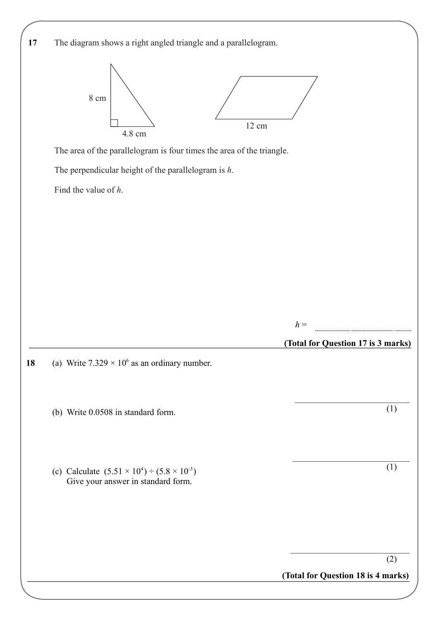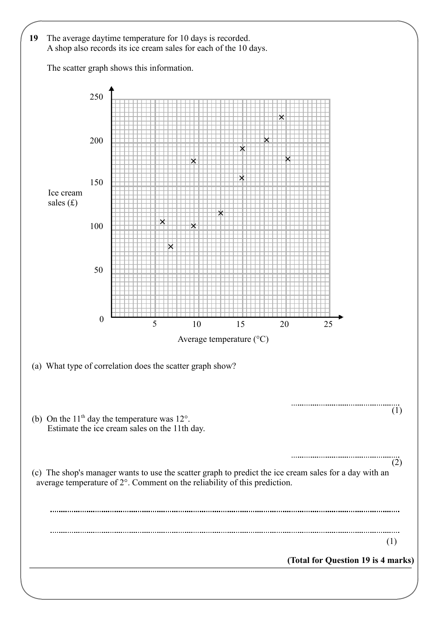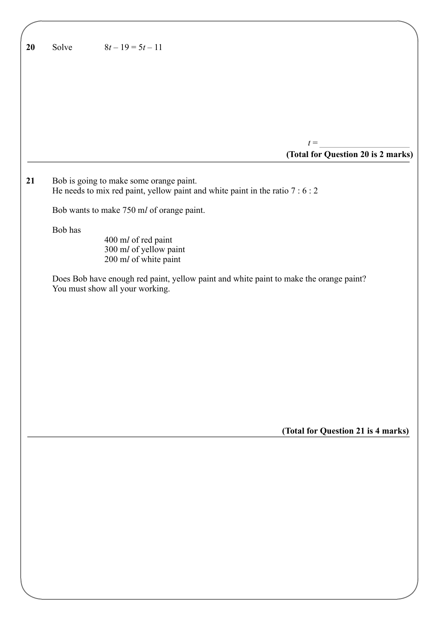| 20 | $8t-19=5t-11$<br>Solve                                                                                                                             |
|----|----------------------------------------------------------------------------------------------------------------------------------------------------|
|    |                                                                                                                                                    |
|    |                                                                                                                                                    |
|    |                                                                                                                                                    |
|    | $t =$                                                                                                                                              |
|    | (Total for Question 20 is 2 marks)                                                                                                                 |
| 21 | Bob is going to make some orange paint.<br>He needs to mix red paint, yellow paint and white paint in the ratio $7:6:2$                            |
|    | Bob wants to make 750 ml of orange paint.                                                                                                          |
|    | Bob has<br>400 ml of red paint<br>300 ml of yellow paint                                                                                           |
|    | 200 ml of white paint<br>Does Bob have enough red paint, yellow paint and white paint to make the orange paint?<br>You must show all your working. |
|    |                                                                                                                                                    |
|    |                                                                                                                                                    |
|    |                                                                                                                                                    |
|    |                                                                                                                                                    |
|    |                                                                                                                                                    |
|    |                                                                                                                                                    |
|    | (Total for Question 21 is 4 marks)                                                                                                                 |
|    |                                                                                                                                                    |
|    |                                                                                                                                                    |
|    |                                                                                                                                                    |
|    |                                                                                                                                                    |
|    |                                                                                                                                                    |
|    |                                                                                                                                                    |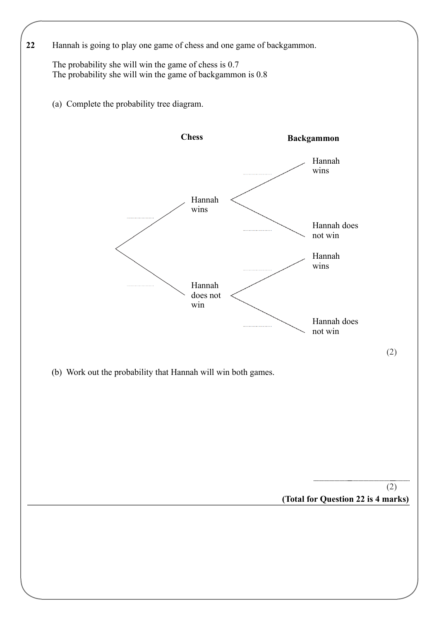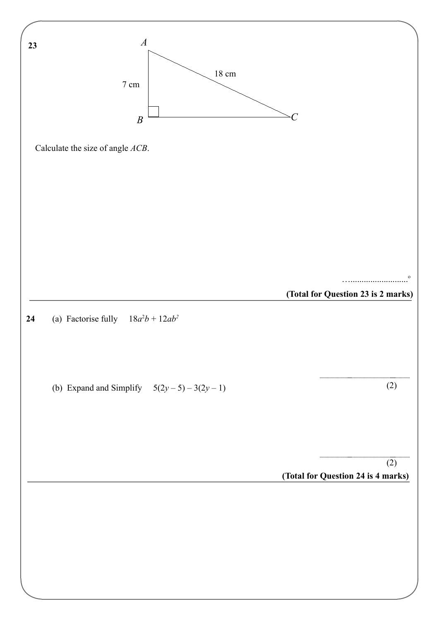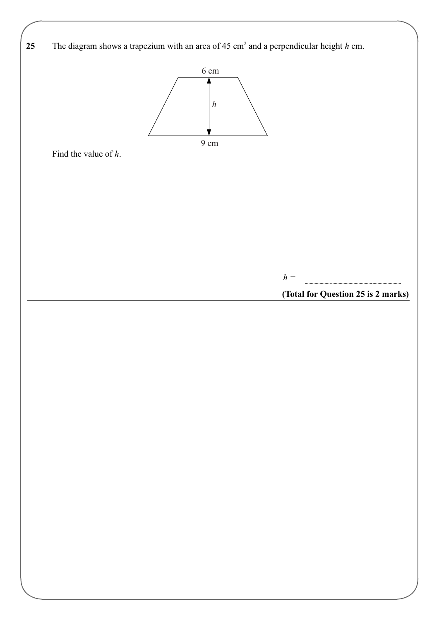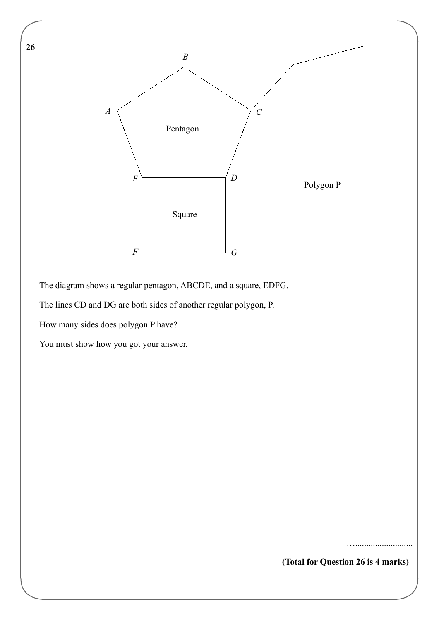

The diagram shows a regular pentagon, ABCDE, and a square, EDFG.

The lines CD and DG are both sides of another regular polygon, P.

How many sides does polygon P have?

**26** 

You must show how you got your answer.

**(Total for Question 26 is 4 marks)**

…..........................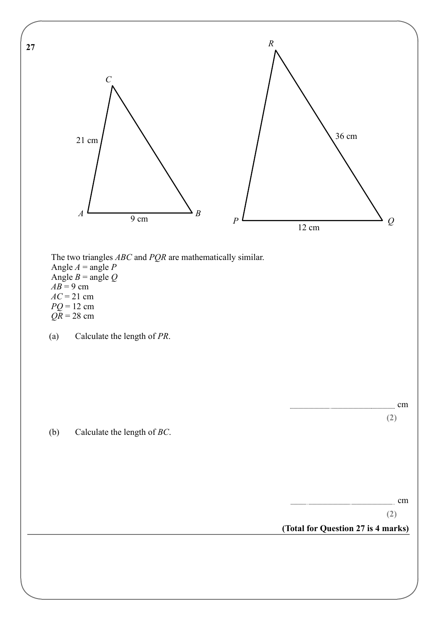